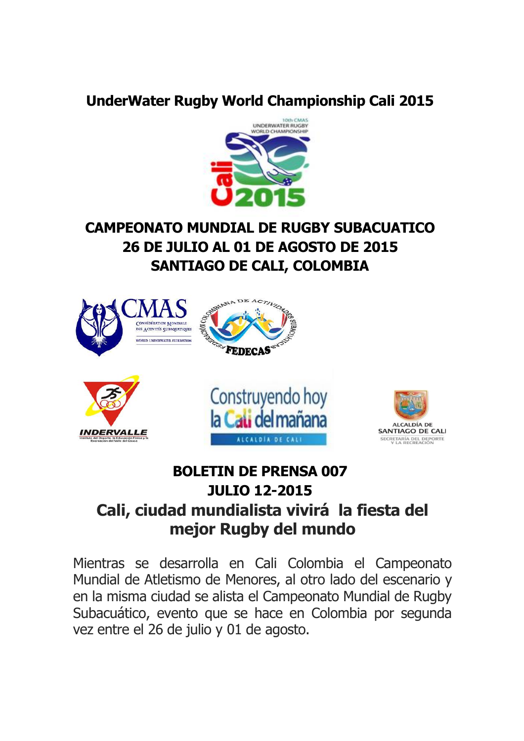#### **UnderWater Rugby World Championship Cali 2015**



# **CAMPEONATO MUNDIAL DE RUGBY SUBACUATICO 26 DE JULIO AL 01 DE AGOSTO DE 2015 SANTIAGO DE CALI, COLOMBIA**



# **BOLETIN DE PRENSA 007 JULIO 12-2015 Cali, ciudad mundialista vivirá la fiesta del mejor Rugby del mundo**

Mientras se desarrolla en Cali Colombia el Campeonato Mundial de Atletismo de Menores, al otro lado del escenario y en la misma ciudad se alista el Campeonato Mundial de Rugby Subacuático, evento que se hace en Colombia por segunda vez entre el 26 de julio y 01 de agosto.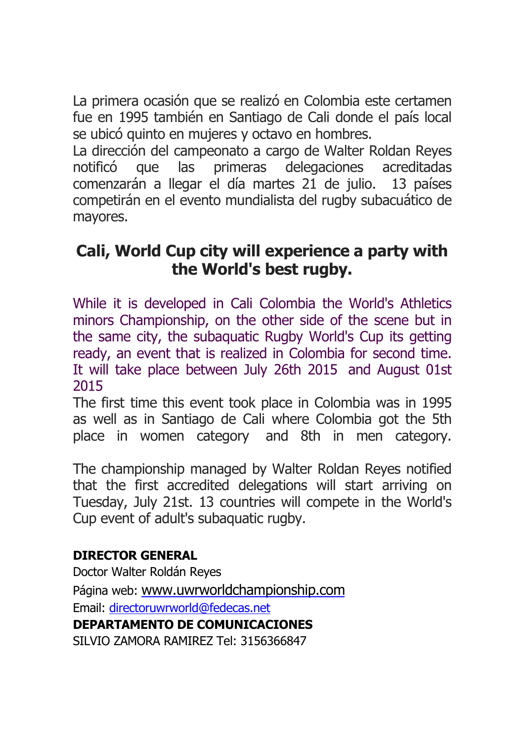La primera ocasión que se realizó en Colombia este certamen fue en 1995 también en Santiago de Cali donde el país local se ubicó quinto en mujeres y octavo en hombres.

La dirección del campeonato a cargo de Walter Roldan Reyes notificó que las primeras delegaciones acreditadas comenzarán a llegar el día martes 21 de julio. 13 países competirán en el evento mundialista del rugby subacuático de mayores.

### **Cali, World Cup city will experience a party with the World's best rugby.**

While it is developed in Cali Colombia the World's Athletics minors Championship, on the other side of the scene but in the same city, the subaquatic Rugby World's Cup its getting ready, an event that is realized in Colombia for second time. It will take place between July 26th 2015 and August 01st 2015

The first time this event took place in Colombia was in 1995 as well as in Santiago de Cali where Colombia got the 5th place in women category and 8th in men category.

The championship managed by Walter Roldan Reyes notified that the first accredited delegations will start arriving on Tuesday, July 21st. 13 countries will compete in the World's Cup event of adult's subaquatic rugby.

#### **DIRECTOR GENERAL**

Doctor Walter Roldán Reyes Página web: <www.uwrworldchampionship.com> Email: directoruwrworld@fedecas.net **DEPARTAMENTO DE COMUNICACIONES**  SILVIO ZAMORA RAMIREZ Tel: 3156366847